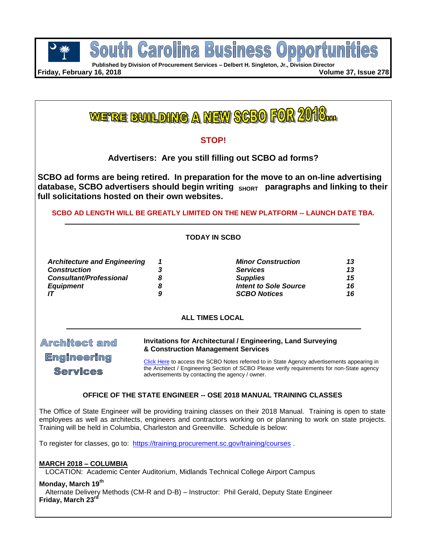

pportu **Published by Division of Procurement Services – Delbert H. Singleton, Jr., Division Director**

South Carolina

**Business** 

**Friday, February 16, 2018 Volume 37, Issue 278**

<u>WERE BUILDING A NEW SCBO FOR 2010</u>

# **STOP!**

**Advertisers: Are you still filling out SCBO ad forms?**

**SCBO ad forms are being retired. In preparation for the move to an on-line advertising database, SCBO advertisers should begin writing SHORT paragraphs and linking to their full solicitations hosted on their own websites.** 

#### **SCBO AD LENGTH WILL BE GREATLY LIMITED ON THE NEW PLATFORM -- LAUNCH DATE TBA.**

#### **TODAY IN SCBO**

| <b>Architecture and Engineering</b> |   | <b>Minor Construction</b>    | 13 |
|-------------------------------------|---|------------------------------|----|
| <b>Construction</b>                 |   | <b>Services</b>              | 13 |
| <b>Consultant/Professional</b>      |   | <b>Supplies</b>              | 15 |
| <b>Equipment</b>                    |   | <b>Intent to Sole Source</b> | 16 |
|                                     | 9 | <b>SCBO Notices</b>          | 16 |
|                                     |   |                              |    |

#### **ALL TIMES LOCAL**

**Architect and Engineering Services** 

**Invitations for Architectural / Engineering, Land Surveying & Construction Management Services**

[Click Here](https://procurement.sc.gov/general/scbo/notes) to access the SCBO Notes referred to in State Agency advertisements appearing in the Architect / Engineering Section of SCBO Please verify requirements for non-State agency advertisements by contacting the agency / owner.

#### **OFFICE OF THE STATE ENGINEER -- OSE 2018 MANUAL TRAINING CLASSES**

The Office of State Engineer will be providing training classes on their 2018 Manual. Training is open to state employees as well as architects, engineers and contractors working on or planning to work on state projects. Training will be held in Columbia, Charleston and Greenville. Schedule is below:

To register for classes, go to: <https://training.procurement.sc.gov/training/courses> .

#### **MARCH 2018 – COLUMBIA**

LOCATION: Academic Center Auditorium, Midlands Technical College Airport Campus

**Monday, March 19th**

Alternate Delivery Methods (CM-R and D-B) – Instructor: Phil Gerald, Deputy State Engineer **Friday, March 23rd**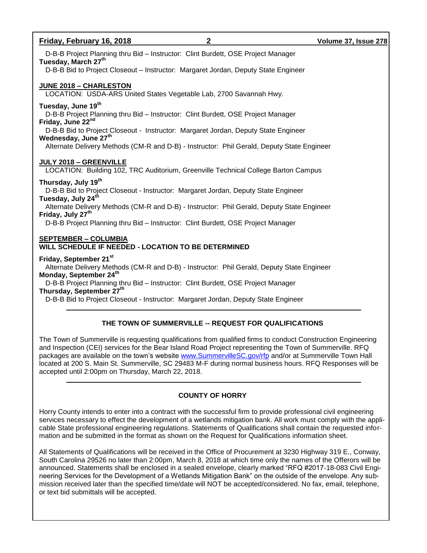| Friday, February 16, 2018<br>2                                                                                                                                                                                                                                                                                                                       | Volume 37, Issue 278 |
|------------------------------------------------------------------------------------------------------------------------------------------------------------------------------------------------------------------------------------------------------------------------------------------------------------------------------------------------------|----------------------|
| D-B-B Project Planning thru Bid - Instructor: Clint Burdett, OSE Project Manager<br>Tuesday, March 27th<br>D-B-B Bid to Project Closeout - Instructor: Margaret Jordan, Deputy State Engineer                                                                                                                                                        |                      |
| <b>JUNE 2018 - CHARLESTON</b><br>LOCATION: USDA-ARS United States Vegetable Lab, 2700 Savannah Hwy.                                                                                                                                                                                                                                                  |                      |
| Tuesday, June 19th<br>D-B-B Project Planning thru Bid - Instructor: Clint Burdett, OSE Project Manager<br>Friday, June 22nd                                                                                                                                                                                                                          |                      |
| D-B-B Bid to Project Closeout - Instructor: Margaret Jordan, Deputy State Engineer<br>Wednesday, June 27th                                                                                                                                                                                                                                           |                      |
| Alternate Delivery Methods (CM-R and D-B) - Instructor: Phil Gerald, Deputy State Engineer                                                                                                                                                                                                                                                           |                      |
| JULY 2018 - GREENVILLE<br>LOCATION: Building 102, TRC Auditorium, Greenville Technical College Barton Campus                                                                                                                                                                                                                                         |                      |
| Thursday, July 19 <sup>th</sup><br>D-B-B Bid to Project Closeout - Instructor: Margaret Jordan, Deputy State Engineer<br>Tuesday, July 24th<br>Alternate Delivery Methods (CM-R and D-B) - Instructor: Phil Gerald, Deputy State Engineer                                                                                                            |                      |
| Friday, July 27th<br>D-B-B Project Planning thru Bid - Instructor: Clint Burdett, OSE Project Manager                                                                                                                                                                                                                                                |                      |
| <b>SEPTEMBER - COLUMBIA</b><br>WILL SCHEDULE IF NEEDED - LOCATION TO BE DETERMINED                                                                                                                                                                                                                                                                   |                      |
| Friday, September 21st<br>Alternate Delivery Methods (CM-R and D-B) - Instructor: Phil Gerald, Deputy State Engineer<br>Monday, September 24th<br>D-B-B Project Planning thru Bid - Instructor: Clint Burdett, OSE Project Manager<br>Thursday, September 27th<br>D-B-B Bid to Project Closeout - Instructor: Margaret Jordan, Deputy State Engineer |                      |

# **THE TOWN OF SUMMERVILLE -- REQUEST FOR QUALIFICATIONS**

The Town of Summerville is requesting qualifications from qualified firms to conduct Construction Engineering and Inspection (CEI) services for the Bear Island Road Project representing the Town of Summerville. RFQ packages are available on the town's website [www.SummervilleSC.gov/rfp](http://www.summervillesc.gov/rfp) and/or at Summerville Town Hall located at 200 S. Main St. Summerville, SC 29483 M-F during normal business hours. RFQ Responses will be accepted until 2:00pm on Thursday, March 22, 2018.

# **COUNTY OF HORRY**

Horry County intends to enter into a contract with the successful firm to provide professional civil engineering services necessary to effect the development of a wetlands mitigation bank. All work must comply with the applicable State professional engineering regulations. Statements of Qualifications shall contain the requested information and be submitted in the format as shown on the Request for Qualifications information sheet.

All Statements of Qualifications will be received in the Office of Procurement at 3230 Highway 319 E., Conway, South Carolina 29526 no later than 2:00pm, March 8, 2018 at which time only the names of the Offerors will be announced. Statements shall be enclosed in a sealed envelope, clearly marked "RFQ #2017-18-083 Civil Engineering Services for the Development of a Wetlands Mitigation Bank" on the outside of the envelope. Any submission received later than the specified time/date will NOT be accepted/considered. No fax, email, telephone, or text bid submittals will be accepted.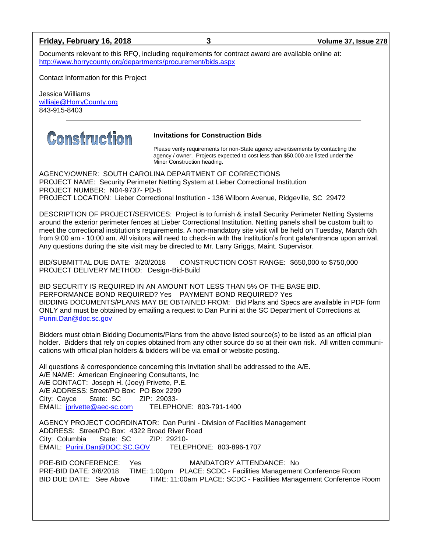#### **Friday, February 16, 2018 3 Volume 37, Issue 278**

Documents relevant to this RFQ, including requirements for contract award are available online at: <http://www.horrycounty.org/departments/procurement/bids.aspx>

Contact Information for this Project

Jessica Williams [williaje@HorryCounty.org](mailto:williaje@HorryCounty.org) 843-915-8403



#### **Invitations for Construction Bids**

Please verify requirements for non-State agency advertisements by contacting the agency / owner. Projects expected to cost less than \$50,000 are listed under the Minor Construction heading.

AGENCY/OWNER: SOUTH CAROLINA DEPARTMENT OF CORRECTIONS PROJECT NAME: Security Perimeter Netting System at Lieber Correctional Institution PROJECT NUMBER: N04-9737- PD-B PROJECT LOCATION: Lieber Correctional Institution - 136 Wilborn Avenue, Ridgeville, SC 29472

DESCRIPTION OF PROJECT/SERVICES: Project is to furnish & install Security Perimeter Netting Systems around the exterior perimeter fences at Lieber Correctional Institution. Netting panels shall be custom built to meet the correctional institution's requirements. A non-mandatory site visit will be held on Tuesday, March 6th from 9:00 am - 10:00 am. All visitors will need to check-in with the Institution's front gate/entrance upon arrival. Any questions during the site visit may be directed to Mr. Larry Griggs, Maint. Supervisor.

BID/SUBMITTAL DUE DATE: 3/20/2018 CONSTRUCTION COST RANGE: \$650,000 to \$750,000 PROJECT DELIVERY METHOD: Design-Bid-Build

BID SECURITY IS REQUIRED IN AN AMOUNT NOT LESS THAN 5% OF THE BASE BID. PERFORMANCE BOND REQUIRED? Yes PAYMENT BOND REQUIRED? Yes BIDDING DOCUMENTS/PLANS MAY BE OBTAINED FROM: Bid Plans and Specs are available in PDF form ONLY and must be obtained by emailing a request to Dan Purini at the SC Department of Corrections at [Purini.Dan@doc.sc.gov](mailto:Purini.Dan@doc.sc.gov)

Bidders must obtain Bidding Documents/Plans from the above listed source(s) to be listed as an official plan holder. Bidders that rely on copies obtained from any other source do so at their own risk. All written communications with official plan holders & bidders will be via email or website posting.

All questions & correspondence concerning this Invitation shall be addressed to the A/E. A/E NAME: American Engineering Consultants, Inc A/E CONTACT: Joseph H. (Joey) Privette, P.E. A/E ADDRESS: Street/PO Box: PO Box 2299 City: Cayce State: SC ZIP: 29033- EMAIL: [jprivette@aec-sc.com](mailto:jprivette@aec-sc.com) TELEPHONE: 803-791-1400

AGENCY PROJECT COORDINATOR: Dan Purini - Division of Facilities Management ADDRESS: Street/PO Box: 4322 Broad River Road City: Columbia State: SC ZIP: 29210- EMAIL: [Purini.Dan@DOC.SC.GOV](mailto:Purini.Dan@DOC.SC.GOV) TELEPHONE: 803-896-1707

PRE-BID CONFERENCE: Yes MANDATORY ATTENDANCE: No PRE-BID DATE: 3/6/2018 TIME: 1:00pm PLACE: SCDC - Facilities Management Conference Room BID DUE DATE: See Above TIME: 11:00am PLACE: SCDC - Facilities Management Conference Room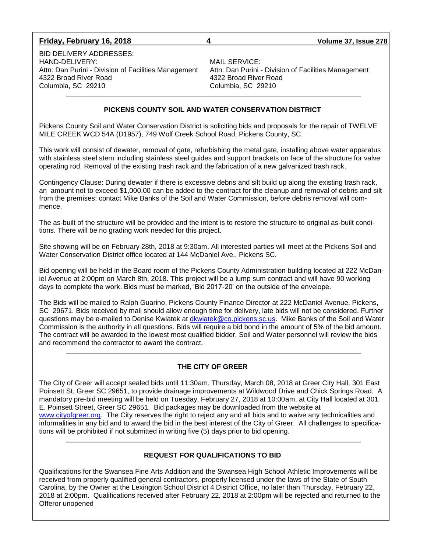#### **Friday, February 16, 2018 4 Volume 37, Issue 278**

BID DELIVERY ADDRESSES: HAND-DELIVERY:<br>Attn: Dan Purini - Division of Facilities Management Attn: Dan Purini - Division of Facilities Management Attn: Dan Purini - Division of Facilities Management 4322 Broad River Road 4322 Broad River Road Columbia, SC 29210 Columbia, SC 29210

#### **PICKENS COUNTY SOIL AND WATER CONSERVATION DISTRICT**

Pickens County Soil and Water Conservation District is soliciting bids and proposals for the repair of TWELVE MILE CREEK WCD 54A (D1957), 749 Wolf Creek School Road, Pickens County, SC.

This work will consist of dewater, removal of gate, refurbishing the metal gate, installing above water apparatus with stainless steel stem including stainless steel guides and support brackets on face of the structure for valve operating rod. Removal of the existing trash rack and the fabrication of a new galvanized trash rack.

Contingency Clause: During dewater if there is excessive debris and silt build up along the existing trash rack, an amount not to exceed \$1,000.00 can be added to the contract for the cleanup and removal of debris and silt from the premises; contact Mike Banks of the Soil and Water Commission, before debris removal will commence.

The as-built of the structure will be provided and the intent is to restore the structure to original as-built conditions. There will be no grading work needed for this project.

Site showing will be on February 28th, 2018 at 9:30am. All interested parties will meet at the Pickens Soil and Water Conservation District office located at 144 McDaniel Ave., Pickens SC.

Bid opening will be held in the Board room of the Pickens County Administration building located at 222 McDaniel Avenue at 2:00pm on March 8th, 2018. This project will be a lump sum contract and will have 90 working days to complete the work. Bids must be marked, 'Bid 2017-20' on the outside of the envelope.

The Bids will be mailed to Ralph Guarino, Pickens County Finance Director at 222 McDaniel Avenue, Pickens, SC 29671. Bids received by mail should allow enough time for delivery, late bids will not be considered. Further questions may be e-mailed to Denise Kwiatek at [dkwiatek@co.pickens.sc.us.](mailto:dkwiatek@co.pickens.sc.us) Mike Banks of the Soil and Water Commission is the authority in all questions. Bids will require a bid bond in the amount of 5% of the bid amount. The contract will be awarded to the lowest most qualified bidder. Soil and Water personnel will review the bids and recommend the contractor to award the contract.

#### **THE CITY OF GREER**

The City of Greer will accept sealed bids until 11:30am, Thursday, March 08, 2018 at Greer City Hall, 301 East Poinsett St. Greer SC 29651, to provide drainage improvements at Wildwood Drive and Chick Springs Road. A mandatory pre-bid meeting will be held on Tuesday, February 27, 2018 at 10:00am, at City Hall located at 301 E. Poinsett Street, Greer SC 29651. Bid packages may be downloaded from the website at [www.cityofgreer.org.](http://www.cityofgreer.org/) The City reserves the right to reject any and all bids and to waive any technicalities and informalities in any bid and to award the bid in the best interest of the City of Greer. All challenges to specifications will be prohibited if not submitted in writing five (5) days prior to bid opening.

#### **REQUEST FOR QUALIFICATIONS TO BID**

Qualifications for the Swansea Fine Arts Addition and the Swansea High School Athletic Improvements will be received from properly qualified general contractors, properly licensed under the laws of the State of South Carolina, by the Owner at the Lexington School District 4 District Office, no later than Thursday, February 22, 2018 at 2:00pm. Qualifications received after February 22, 2018 at 2:00pm will be rejected and returned to the Offeror unopened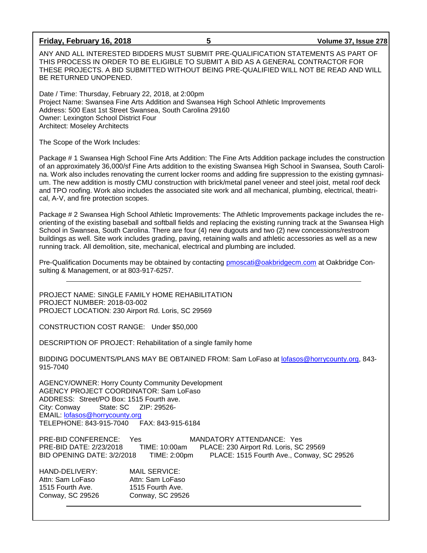#### **Friday, February 16, 2018 5 Volume 37, Issue 278**

ANY AND ALL INTERESTED BIDDERS MUST SUBMIT PRE-QUALIFICATION STATEMENTS AS PART OF THIS PROCESS IN ORDER TO BE ELIGIBLE TO SUBMIT A BID AS A GENERAL CONTRACTOR FOR THESE PROJECTS. A BID SUBMITTED WITHOUT BEING PRE-QUALIFIED WILL NOT BE READ AND WILL BE RETURNED UNOPENED.

Date / Time: Thursday, February 22, 2018, at 2:00pm Project Name: Swansea Fine Arts Addition and Swansea High School Athletic Improvements Address: 500 East 1st Street Swansea, South Carolina 29160 Owner: Lexington School District Four Architect: Moseley Architects

The Scope of the Work Includes:

Package # 1 Swansea High School Fine Arts Addition: The Fine Arts Addition package includes the construction of an approximately 36,000/sf Fine Arts addition to the existing Swansea High School in Swansea, South Carolina. Work also includes renovating the current locker rooms and adding fire suppression to the existing gymnasium. The new addition is mostly CMU construction with brick/metal panel veneer and steel joist, metal roof deck and TPO roofing. Work also includes the associated site work and all mechanical, plumbing, electrical, theatrical, A-V, and fire protection scopes.

Package # 2 Swansea High School Athletic Improvements: The Athletic Improvements package includes the reorienting of the existing baseball and softball fields and replacing the existing running track at the Swansea High School in Swansea, South Carolina. There are four (4) new dugouts and two (2) new concessions/restroom buildings as well. Site work includes grading, paving, retaining walls and athletic accessories as well as a new running track. All demolition, site, mechanical, electrical and plumbing are included.

Pre-Qualification Documents may be obtained by contacting [pmoscati@oakbridgecm.com](mailto:pmoscati@oakbridgecm.com) at Oakbridge Consulting & Management, or at 803-917-6257.

PROJECT NAME: SINGLE FAMILY HOME REHABILITATION PROJECT NUMBER: 2018-03-002 PROJECT LOCATION: 230 Airport Rd. Loris, SC 29569

CONSTRUCTION COST RANGE: Under \$50,000

DESCRIPTION OF PROJECT: Rehabilitation of a single family home

BIDDING DOCUMENTS/PLANS MAY BE OBTAINED FROM: Sam LoFaso at [lofasos@horrycounty.org,](mailto:lofasos@horrycounty.org) 843- 915-7040

AGENCY/OWNER: Horry County Community Development AGENCY PROJECT COORDINATOR: Sam LoFaso ADDRESS: Street/PO Box: 1515 Fourth ave.<br>City: Conway State: SC ZIP: 29526-City: Conway EMAIL: [lofasos@horrycounty.org](mailto:lofasos@horrycounty.org) TELEPHONE: 843-915-7040

PRE-BID CONFERENCE: Yes MANDATORY ATTENDANCE: Yes PRE-BID DATE: 2/23/2018 TIME: 10:00am PLACE: 230 Airport Rd. Loris, SC 29569 BID OPENING DATE: 3/2/2018 TIME: 2:00pm PLACE: 1515 Fourth Ave., Conway, SC 29526

HAND-DELIVERY: MAIL SERVICE: Attn: Sam LoFaso Attn: Sam LoFaso 1515 Fourth Ave. 1515 Fourth Ave. Conway, SC 29526 Conway, SC 29526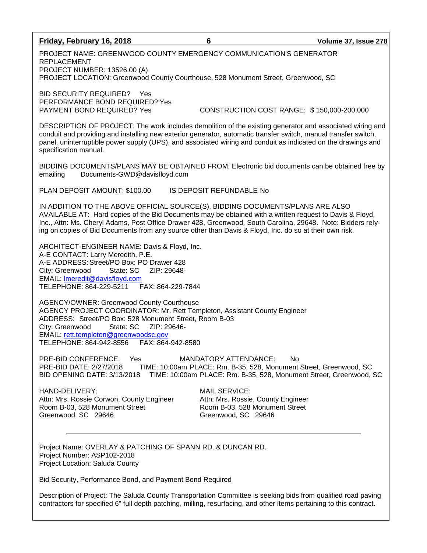#### **Friday, February 16, 2018 6 Volume 37, Issue 278**

PROJECT NAME: GREENWOOD COUNTY EMERGENCY COMMUNICATION'S GENERATOR REPLACEMENT PROJECT NUMBER: 13526.00 (A) PROJECT LOCATION: Greenwood County Courthouse, 528 Monument Street, Greenwood, SC

BID SECURITY REQUIRED? Yes PERFORMANCE BOND REQUIRED? Yes

PAYMENT BOND REQUIRED? Yes CONSTRUCTION COST RANGE: \$ 150,000-200,000

DESCRIPTION OF PROJECT: The work includes demolition of the existing generator and associated wiring and conduit and providing and installing new exterior generator, automatic transfer switch, manual transfer switch, panel, uninterruptible power supply (UPS), and associated wiring and conduit as indicated on the drawings and specification manual.

BIDDING DOCUMENTS/PLANS MAY BE OBTAINED FROM: Electronic bid documents can be obtained free by emailing Documents-GWD@davisfloyd.com

PLAN DEPOSIT AMOUNT: \$100.00 IS DEPOSIT REFUNDABLE No

IN ADDITION TO THE ABOVE OFFICIAL SOURCE(S), BIDDING DOCUMENTS/PLANS ARE ALSO AVAILABLE AT: Hard copies of the Bid Documents may be obtained with a written request to Davis & Floyd, Inc., Attn: Ms. Cheryl Adams, Post Office Drawer 428, Greenwood, South Carolina, 29648. Note: Bidders relying on copies of Bid Documents from any source other than Davis & Floyd, Inc. do so at their own risk.

ARCHITECT-ENGINEER NAME: Davis & Floyd, Inc. A-E CONTACT: Larry Meredith, P.E. A-E ADDRESS: Street/PO Box: PO Drawer 428 City: Greenwood State: SC ZIP: 29648- EMAIL: [lmeredit@davisfloyd.com](mailto:lmeredit@davisfloyd.com) TELEPHONE: 864-229-5211 FAX: 864-229-7844

AGENCY/OWNER: Greenwood County Courthouse AGENCY PROJECT COORDINATOR: Mr. Rett Templeton, Assistant County Engineer ADDRESS: Street/PO Box: 528 Monument Street, Room B-03 City: Greenwood State: SC ZIP: 29646- EMAIL: [rett.templeton@greenwoodsc.gov](mailto:rett.templeton@greenwoodsc.gov) TELEPHONE: 864-942-8556 FAX: 864-942-8580

PRE-BID CONFERENCE: Yes MANDATORY ATTENDANCE: No PRE-BID DATE: 2/27/2018 TIME: 10:00am PLACE: Rm. B-35, 528, Monument Street, Greenwood, SC BID OPENING DATE: 3/13/2018 TIME: 10:00am PLACE: Rm. B-35, 528, Monument Street, Greenwood, SC

HAND-DELIVERY: MAIL SERVICE: Attn: Mrs. Rossie Corwon, County Engineer Attn: Mrs. Rossie, County Engineer Room B-03, 528 Monument Street Room B-03, 528 Monument Street Greenwood, SC 29646 Greenwood, SC 29646

Project Name: OVERLAY & PATCHING OF SPANN RD. & DUNCAN RD. Project Number: ASP102-2018 Project Location: Saluda County

Bid Security, Performance Bond, and Payment Bond Required

Description of Project: The Saluda County Transportation Committee is seeking bids from qualified road paving contractors for specified 6" full depth patching, milling, resurfacing, and other items pertaining to this contract.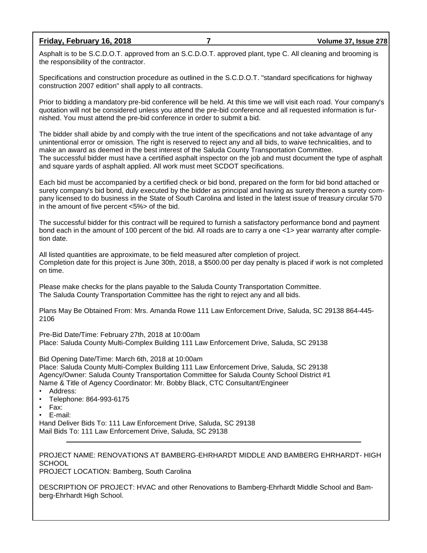#### **Friday, February 16, 2018 7 Volume 37, Issue 278**

Asphalt is to be S.C.D.O.T. approved from an S.C.D.O.T. approved plant, type C. All cleaning and brooming is the responsibility of the contractor.

Specifications and construction procedure as outlined in the S.C.D.O.T. "standard specifications for highway construction 2007 edition" shall apply to all contracts.

Prior to bidding a mandatory pre-bid conference will be held. At this time we will visit each road. Your company's quotation will not be considered unless you attend the pre-bid conference and all requested information is furnished. You must attend the pre-bid conference in order to submit a bid.

The bidder shall abide by and comply with the true intent of the specifications and not take advantage of any unintentional error or omission. The right is reserved to reject any and all bids, to waive technicalities, and to make an award as deemed in the best interest of the Saluda County Transportation Committee. The successful bidder must have a certified asphalt inspector on the job and must document the type of asphalt and square yards of asphalt applied. All work must meet SCDOT specifications.

Each bid must be accompanied by a certified check or bid bond, prepared on the form for bid bond attached or surety company's bid bond, duly executed by the bidder as principal and having as surety thereon a surety company licensed to do business in the State of South Carolina and listed in the latest issue of treasury circular 570 in the amount of five percent <5%> of the bid.

The successful bidder for this contract will be required to furnish a satisfactory performance bond and payment bond each in the amount of 100 percent of the bid. All roads are to carry a one <1> year warranty after completion date.

All listed quantities are approximate, to be field measured after completion of project. Completion date for this project is June 30th, 2018, a \$500.00 per day penalty is placed if work is not completed on time.

Please make checks for the plans payable to the Saluda County Transportation Committee. The Saluda County Transportation Committee has the right to reject any and all bids.

Plans May Be Obtained From: Mrs. Amanda Rowe 111 Law Enforcement Drive, Saluda, SC 29138 864-445- 2106

Pre-Bid Date/Time: February 27th, 2018 at 10:00am Place: Saluda County Multi-Complex Building 111 Law Enforcement Drive, Saluda, SC 29138

Bid Opening Date/Time: March 6th, 2018 at 10:00am Place: Saluda County Multi-Complex Building 111 Law Enforcement Drive, Saluda, SC 29138 Agency/Owner: Saluda County Transportation Committee for Saluda County School District #1 Name & Title of Agency Coordinator: Mr. Bobby Black, CTC Consultant/Engineer

- Address:
- Telephone: 864-993-6175
- Fax:

• E-mail:

Hand Deliver Bids To: 111 Law Enforcement Drive, Saluda, SC 29138 Mail Bids To: 111 Law Enforcement Drive, Saluda, SC 29138

PROJECT NAME: RENOVATIONS AT BAMBERG-EHRHARDT MIDDLE AND BAMBERG EHRHARDT- HIGH **SCHOOL** 

PROJECT LOCATION: Bamberg, South Carolina

DESCRIPTION OF PROJECT: HVAC and other Renovations to Bamberg-Ehrhardt Middle School and Bamberg-Ehrhardt High School.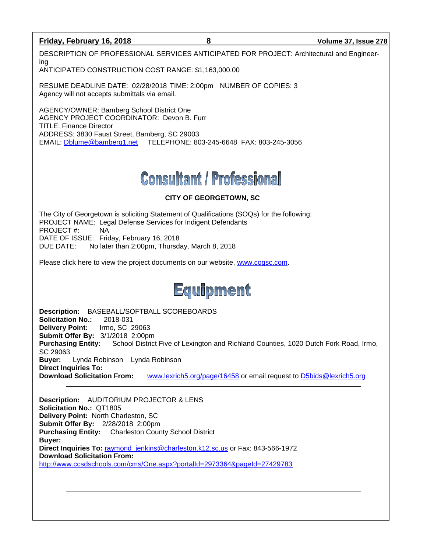#### **Friday, February 16, 2018 8 Volume 37, Issue 278**

DESCRIPTION OF PROFESSIONAL SERVICES ANTICIPATED FOR PROJECT: Architectural and Engineering

ANTICIPATED CONSTRUCTION COST RANGE: \$1,163,000.00

RESUME DEADLINE DATE: 02/28/2018 TIME: 2:00pm NUMBER OF COPIES: 3 Agency will not accepts submittals via email.

AGENCY/OWNER: Bamberg School District One AGENCY PROJECT COORDINATOR: Devon B. Furr TITLE: Finance Director ADDRESS: 3830 Faust Street, Bamberg, SC 29003 EMAIL: [Dblume@bamberg1.net](mailto:Dblume@bamberg1.net) TELEPHONE: 803-245-6648 FAX: 803-245-3056

# **Consultant / Professional**

## **CITY OF GEORGETOWN, SC**

The City of Georgetown is soliciting Statement of Qualifications (SOQs) for the following: PROJECT NAME: Legal Defense Services for Indigent Defendants PROJECT #: NA DATE OF ISSUE: Friday, February 16, 2018 DUE DATE: No later than 2:00pm, Thursday, March 8, 2018

Please click here to view the project documents on our website, [www.cogsc.com.](http://www.cogsc.com/)

# Equipment

**Description:** BASEBALL/SOFTBALL SCOREBOARDS **Solicitation No.:** 2018-031 **Delivery Point:** Irmo, SC 29063 **Submit Offer By:** 3/1/2018 2:00pm **Purchasing Entity:** School District Five of Lexington and Richland Counties, 1020 Dutch Fork Road, Irmo, SC 29063 **Buyer:** Lynda Robinson Lynda Robinson **Direct Inquiries To: Download Solicitation From:** [www.lexrich5.org/page/16458](http://www.lexrich5.org/page/16458) or email request to [D5bids@lexrich5.org](mailto:D5bids@lexrich5.org)

**Description:** AUDITORIUM PROJECTOR & LENS **Solicitation No.:** QT1805 **Delivery Point:** North Charleston, SC **Submit Offer By:** 2/28/2018 2:00pm **Purchasing Entity:** Charleston County School District **Buyer: Direct Inquiries To:** [raymond\\_jenkins@charleston.k12.sc.us](mailto:raymond_jenkins@charleston.k12.sc.us) or Fax: 843-566-1972 **Download Solicitation From:** <http://www.ccsdschools.com/cms/One.aspx?portalId=2973364&pageId=27429783>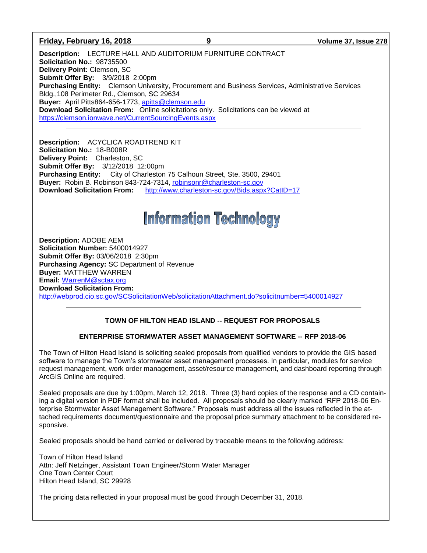#### **Friday, February 16, 2018 9 Volume 37, Issue 278**

**Description:** LECTURE HALL AND AUDITORIUM FURNITURE CONTRACT **Solicitation No.:** 98735500 **Delivery Point:** Clemson, SC **Submit Offer By:** 3/9/2018 2:00pm **Purchasing Entity:** Clemson University, Procurement and Business Services, Administrative Services Bldg.,108 Perimeter Rd., Clemson, SC 29634 **Buyer:** April Pitts864-656-1773, [apitts@clemson.edu](mailto:apitts@clemson.edu) **Download Solicitation From:** Online solicitations only. Solicitations can be viewed at <https://clemson.ionwave.net/CurrentSourcingEvents.aspx>

**Description:** ACYCLICA ROADTREND KIT **Solicitation No.:** 18-B008R **Delivery Point:** Charleston, SC **Submit Offer By:** 3/12/2018 12:00pm **Purchasing Entity:** City of Charleston 75 Calhoun Street, Ste. 3500, 29401 **Buyer:** Robin B. Robinson 843-724-7314, [robinsonr@charleston-sc.gov](mailto:robinsonr@charleston-sc.gov) **Download Solicitation From:** <http://www.charleston-sc.gov/Bids.aspx?CatID=17>

# **Information Technology**

**Description:** ADOBE AEM **Solicitation Number:** 5400014927 **Submit Offer By:** 03/06/2018 2:30pm **Purchasing Agency:** SC Department of Revenue **Buyer:** MATTHEW WARREN **Email:** [WarrenM@sctax.org](mailto:WarrenM@sctax.org) **Download Solicitation From:**  <http://webprod.cio.sc.gov/SCSolicitationWeb/solicitationAttachment.do?solicitnumber=5400014927>

#### **TOWN OF HILTON HEAD ISLAND -- REQUEST FOR PROPOSALS**

#### **ENTERPRISE STORMWATER ASSET MANAGEMENT SOFTWARE -- RFP 2018-06**

The Town of Hilton Head Island is soliciting sealed proposals from qualified vendors to provide the GIS based software to manage the Town's stormwater asset management processes. In particular, modules for service request management, work order management, asset/resource management, and dashboard reporting through ArcGIS Online are required.

Sealed proposals are due by 1:00pm, March 12, 2018. Three (3) hard copies of the response and a CD containing a digital version in PDF format shall be included. All proposals should be clearly marked "RFP 2018-06 Enterprise Stormwater Asset Management Software." Proposals must address all the issues reflected in the attached requirements document/questionnaire and the proposal price summary attachment to be considered responsive.

Sealed proposals should be hand carried or delivered by traceable means to the following address:

Town of Hilton Head Island Attn: Jeff Netzinger, Assistant Town Engineer/Storm Water Manager One Town Center Court Hilton Head Island, SC 29928

The pricing data reflected in your proposal must be good through December 31, 2018.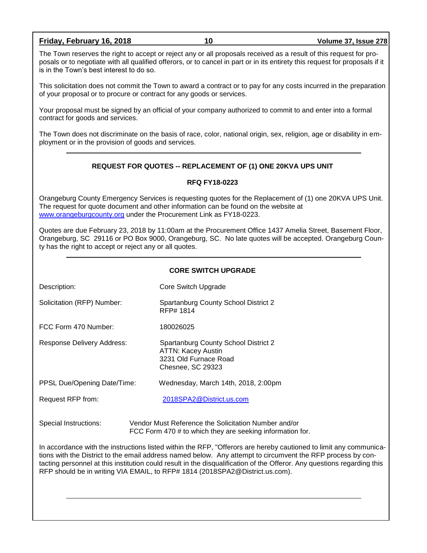#### **Friday, February 16, 2018 10 Volume 37, Issue 278**

The Town reserves the right to accept or reject any or all proposals received as a result of this request for proposals or to negotiate with all qualified offerors, or to cancel in part or in its entirety this request for proposals if it is in the Town's best interest to do so.

This solicitation does not commit the Town to award a contract or to pay for any costs incurred in the preparation of your proposal or to procure or contract for any goods or services.

Your proposal must be signed by an official of your company authorized to commit to and enter into a formal contract for goods and services.

The Town does not discriminate on the basis of race, color, national origin, sex, religion, age or disability in employment or in the provision of goods and services.

#### **REQUEST FOR QUOTES -- REPLACEMENT OF (1) ONE 20KVA UPS UNIT**

#### **RFQ FY18-0223**

Orangeburg County Emergency Services is requesting quotes for the Replacement of (1) one 20KVA UPS Unit. The request for quote document and other information can be found on the website at [www.orangeburgcounty.org](http://www.orangeburgcounty.org/) under the Procurement Link as FY18-0223.

Quotes are due February 23, 2018 by 11:00am at the Procurement Office 1437 Amelia Street, Basement Floor, Orangeburg, SC 29116 or PO Box 9000, Orangeburg, SC. No late quotes will be accepted. Orangeburg County has the right to accept or reject any or all quotes.

Description: Core Switch Upgrade

Solicitation (RFP) Number: Spartanburg County School District 2 RFP# 1814

FCC Form 470 Number: 180026025

Response Delivery Address: Spartanburg County School District 2 ATTN: Kacey Austin 3231 Old Furnace Road Chesnee, SC 29323

PPSL Due/Opening Date/Time: Wednesday, March 14th, 2018, 2:00pm

Request RFP from: [2018SPA2@District.us.com](mailto:2018SPA2@District.us.com)

Special Instructions: Vendor Must Reference the Solicitation Number and/or FCC Form 470 # to which they are seeking information for.

In accordance with the instructions listed within the RFP, "Offerors are hereby cautioned to limit any communications with the District to the email address named below. Any attempt to circumvent the RFP process by contacting personnel at this institution could result in the disqualification of the Offeror. Any questions regarding this RFP should be in writing VIA EMAIL, to RFP# 1814 (2018SPA2@District.us.com).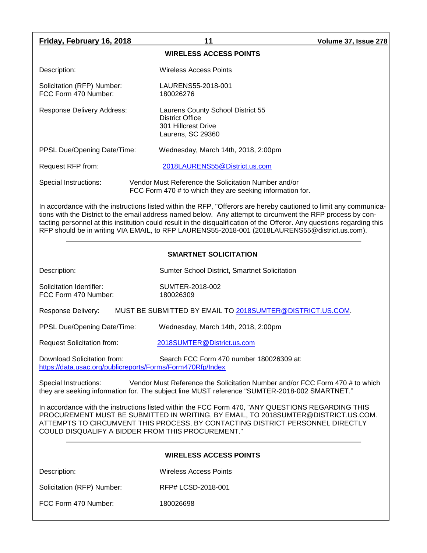| Friday, February 16, 2018                                                                                                                                                                                                                                                                                                                                                                                                                                     | 11                                                                                                                | Volume 37, Issue 278 |  |  |  |
|---------------------------------------------------------------------------------------------------------------------------------------------------------------------------------------------------------------------------------------------------------------------------------------------------------------------------------------------------------------------------------------------------------------------------------------------------------------|-------------------------------------------------------------------------------------------------------------------|----------------------|--|--|--|
| <b>WIRELESS ACCESS POINTS</b>                                                                                                                                                                                                                                                                                                                                                                                                                                 |                                                                                                                   |                      |  |  |  |
| Description:                                                                                                                                                                                                                                                                                                                                                                                                                                                  | <b>Wireless Access Points</b>                                                                                     |                      |  |  |  |
| Solicitation (RFP) Number:<br>FCC Form 470 Number:                                                                                                                                                                                                                                                                                                                                                                                                            | LAURENS55-2018-001<br>180026276                                                                                   |                      |  |  |  |
| Response Delivery Address:                                                                                                                                                                                                                                                                                                                                                                                                                                    | Laurens County School District 55<br><b>District Office</b><br>301 Hillcrest Drive<br>Laurens, SC 29360           |                      |  |  |  |
| PPSL Due/Opening Date/Time:                                                                                                                                                                                                                                                                                                                                                                                                                                   | Wednesday, March 14th, 2018, 2:00pm                                                                               |                      |  |  |  |
| Request RFP from:                                                                                                                                                                                                                                                                                                                                                                                                                                             | 2018LAURENS55@District.us.com                                                                                     |                      |  |  |  |
| Special Instructions:                                                                                                                                                                                                                                                                                                                                                                                                                                         | Vendor Must Reference the Solicitation Number and/or<br>FCC Form 470 # to which they are seeking information for. |                      |  |  |  |
| In accordance with the instructions listed within the RFP, "Offerors are hereby cautioned to limit any communica-<br>tions with the District to the email address named below. Any attempt to circumvent the RFP process by con-<br>tacting personnel at this institution could result in the disqualification of the Offeror. Any questions regarding this<br>RFP should be in writing VIA EMAIL, to RFP LAURENS55-2018-001 (2018LAURENS55@district.us.com). |                                                                                                                   |                      |  |  |  |
| <b>SMARTNET SOLICITATION</b>                                                                                                                                                                                                                                                                                                                                                                                                                                  |                                                                                                                   |                      |  |  |  |
| Description:                                                                                                                                                                                                                                                                                                                                                                                                                                                  | Sumter School District, Smartnet Solicitation                                                                     |                      |  |  |  |
| Solicitation Identifier:<br>FCC Form 470 Number:                                                                                                                                                                                                                                                                                                                                                                                                              | SUMTER-2018-002<br>180026309                                                                                      |                      |  |  |  |
| Response Delivery:                                                                                                                                                                                                                                                                                                                                                                                                                                            | MUST BE SUBMITTED BY EMAIL TO 2018SUMTER@DISTRICT.US.COM.                                                         |                      |  |  |  |
| PPSL Due/Opening Date/Time:                                                                                                                                                                                                                                                                                                                                                                                                                                   | Wednesday, March 14th, 2018, 2:00pm                                                                               |                      |  |  |  |
| <b>Request Solicitation from:</b>                                                                                                                                                                                                                                                                                                                                                                                                                             | 2018SUMTER@District.us.com                                                                                        |                      |  |  |  |
| Download Solicitation from:<br>https://data.usac.org/publicreports/Forms/Form470Rfp/Index                                                                                                                                                                                                                                                                                                                                                                     | Search FCC Form 470 number 180026309 at:                                                                          |                      |  |  |  |
| Vendor Must Reference the Solicitation Number and/or FCC Form 470 # to which<br>Special Instructions:<br>they are seeking information for. The subject line MUST reference "SUMTER-2018-002 SMARTNET."                                                                                                                                                                                                                                                        |                                                                                                                   |                      |  |  |  |
| In accordance with the instructions listed within the FCC Form 470, "ANY QUESTIONS REGARDING THIS<br>PROCUREMENT MUST BE SUBMITTED IN WRITING, BY EMAIL, TO 2018SUMTER@DISTRICT.US.COM.<br>ATTEMPTS TO CIRCUMVENT THIS PROCESS, BY CONTACTING DISTRICT PERSONNEL DIRECTLY<br>COULD DISQUALIFY A BIDDER FROM THIS PROCUREMENT."                                                                                                                                |                                                                                                                   |                      |  |  |  |
| <b>WIRELESS ACCESS POINTS</b>                                                                                                                                                                                                                                                                                                                                                                                                                                 |                                                                                                                   |                      |  |  |  |
| Description:                                                                                                                                                                                                                                                                                                                                                                                                                                                  | <b>Wireless Access Points</b>                                                                                     |                      |  |  |  |
| Solicitation (RFP) Number:                                                                                                                                                                                                                                                                                                                                                                                                                                    | RFP# LCSD-2018-001                                                                                                |                      |  |  |  |
| FCC Form 470 Number:                                                                                                                                                                                                                                                                                                                                                                                                                                          | 180026698                                                                                                         |                      |  |  |  |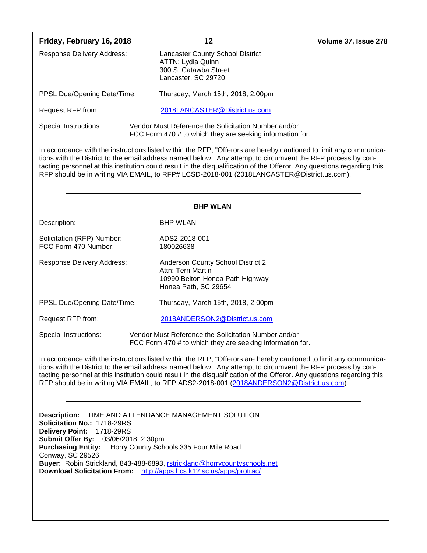| Friday, February 16, 2018                                                                                                                                                                                                                                                             | 12                                                                                                                                                                                                                                                                                                                                                                                                                                                        | Volume 37, Issue 278 |  |  |
|---------------------------------------------------------------------------------------------------------------------------------------------------------------------------------------------------------------------------------------------------------------------------------------|-----------------------------------------------------------------------------------------------------------------------------------------------------------------------------------------------------------------------------------------------------------------------------------------------------------------------------------------------------------------------------------------------------------------------------------------------------------|----------------------|--|--|
| <b>Response Delivery Address:</b>                                                                                                                                                                                                                                                     | <b>Lancaster County School District</b><br><b>ATTN: Lydia Quinn</b><br>300 S. Catawba Street<br>Lancaster, SC 29720                                                                                                                                                                                                                                                                                                                                       |                      |  |  |
| PPSL Due/Opening Date/Time:                                                                                                                                                                                                                                                           | Thursday, March 15th, 2018, 2:00pm                                                                                                                                                                                                                                                                                                                                                                                                                        |                      |  |  |
| Request RFP from:                                                                                                                                                                                                                                                                     | 2018LANCASTER@District.us.com                                                                                                                                                                                                                                                                                                                                                                                                                             |                      |  |  |
| Special Instructions:                                                                                                                                                                                                                                                                 | Vendor Must Reference the Solicitation Number and/or<br>FCC Form 470 # to which they are seeking information for.                                                                                                                                                                                                                                                                                                                                         |                      |  |  |
|                                                                                                                                                                                                                                                                                       | In accordance with the instructions listed within the RFP, "Offerors are hereby cautioned to limit any communica-<br>tions with the District to the email address named below. Any attempt to circumvent the RFP process by con-<br>tacting personnel at this institution could result in the disqualification of the Offeror. Any questions regarding this<br>RFP should be in writing VIA EMAIL, to RFP# LCSD-2018-001 (2018LANCASTER@District.us.com). |                      |  |  |
| <b>BHP WLAN</b>                                                                                                                                                                                                                                                                       |                                                                                                                                                                                                                                                                                                                                                                                                                                                           |                      |  |  |
| Description:                                                                                                                                                                                                                                                                          | <b>BHP WLAN</b>                                                                                                                                                                                                                                                                                                                                                                                                                                           |                      |  |  |
| Solicitation (RFP) Number:<br>FCC Form 470 Number:                                                                                                                                                                                                                                    | ADS2-2018-001<br>180026638                                                                                                                                                                                                                                                                                                                                                                                                                                |                      |  |  |
| Response Delivery Address:                                                                                                                                                                                                                                                            | Anderson County School District 2<br>Attn: Terri Martin<br>10990 Belton-Honea Path Highway<br>Honea Path, SC 29654                                                                                                                                                                                                                                                                                                                                        |                      |  |  |
| PPSL Due/Opening Date/Time:                                                                                                                                                                                                                                                           | Thursday, March 15th, 2018, 2:00pm                                                                                                                                                                                                                                                                                                                                                                                                                        |                      |  |  |
| Request RFP from:                                                                                                                                                                                                                                                                     | 2018ANDERSON2@District.us.com                                                                                                                                                                                                                                                                                                                                                                                                                             |                      |  |  |
| Special Instructions:                                                                                                                                                                                                                                                                 | Vendor Must Reference the Solicitation Number and/or<br>FCC Form 470 # to which they are seeking information for.                                                                                                                                                                                                                                                                                                                                         |                      |  |  |
|                                                                                                                                                                                                                                                                                       | In accordance with the instructions listed within the RFP, "Offerors are hereby cautioned to limit any communica-<br>tions with the District to the email address named below. Any attempt to circumvent the RFP process by con-<br>tacting personnel at this institution could result in the disqualification of the Offeror. Any questions regarding this<br>RFP should be in writing VIA EMAIL, to RFP ADS2-2018-001 (2018ANDERSON2@District.us.com).  |                      |  |  |
| <b>Description:</b><br>Solicitation No.: 1718-29RS<br>Delivery Point: 1718-29RS<br>Submit Offer By: 03/06/2018 2:30pm<br>Purchasing Entity: Horry County Schools 335 Four Mile Road<br><b>Conway, SC 29526</b><br>Download Solicitation From: http://apps.hcs.k12.sc.us/apps/protrac/ | TIME AND ATTENDANCE MANAGEMENT SOLUTION<br>Buyer: Robin Strickland, 843-488-6893, rstrickland@horrycountyschools.net                                                                                                                                                                                                                                                                                                                                      |                      |  |  |
|                                                                                                                                                                                                                                                                                       |                                                                                                                                                                                                                                                                                                                                                                                                                                                           |                      |  |  |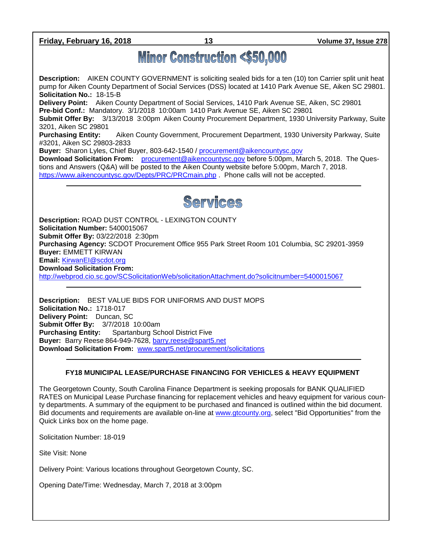**Friday, February 16, 2018 13 Volume 37, Issue 278**

# **Minor Construction <\$50,000**

**Description:** AIKEN COUNTY GOVERNMENT is soliciting sealed bids for a ten (10) ton Carrier split unit heat pump for Aiken County Department of Social Services (DSS) located at 1410 Park Avenue SE, Aiken SC 29801. **Solicitation No.:** 18-15-B

**Delivery Point:** Aiken County Department of Social Services, 1410 Park Avenue SE, Aiken, SC 29801 **Pre-bid Conf.:** Mandatory. 3/1/2018 10:00am 1410 Park Avenue SE, Aiken SC 29801

**Submit Offer By:** 3/13/2018 3:00pm Aiken County Procurement Department, 1930 University Parkway, Suite 3201, Aiken SC 29801

**Purchasing Entity:** Aiken County Government, Procurement Department, 1930 University Parkway, Suite #3201, Aiken SC 29803-2833

**Buyer:** Sharon Lyles, Chief Buyer, 803-642-1540 / [procurement@aikencountysc.gov](mailto:procurement@aikencountysc.gov) 

**Download Solicitation From:** [procurement@aikencountysc.gov](mailto:procurement@aikencountysc.gov) before 5:00pm, March 5, 2018. The Questions and Answers (Q&A) will be posted to the Aiken County website before 5:00pm, March 7, 2018. <https://www.aikencountysc.gov/Depts/PRC/PRCmain.php> . Phone calls will not be accepted.



**Description:** ROAD DUST CONTROL - LEXINGTON COUNTY **Solicitation Number:** 5400015067 **Submit Offer By:** 03/22/2018 2:30pm **Purchasing Agency:** SCDOT Procurement Office 955 Park Street Room 101 Columbia, SC 29201-3959 **Buyer:** EMMETT KIRWAN **Email:** [KirwanEI@scdot.org](mailto:KirwanEI@scdot.org) **Download Solicitation From:**  <http://webprod.cio.sc.gov/SCSolicitationWeb/solicitationAttachment.do?solicitnumber=5400015067>

**Description:** BEST VALUE BIDS FOR UNIFORMS AND DUST MOPS **Solicitation No.:** 1718-017 **Delivery Point:** Duncan, SC **Submit Offer By:** 3/7/2018 10:00am **Purchasing Entity:** Spartanburg School District Five **Buyer:** Barry Reese 864-949-7628, [barry.reese@spart5.net](mailto:barry.reese@spart5.net) **Download Solicitation From:** [www.spart5.net/procurement/solicitations](http://www.spart5.net/procurement/solicitations)

## **FY18 MUNICIPAL LEASE/PURCHASE FINANCING FOR VEHICLES & HEAVY EQUIPMENT**

The Georgetown County, South Carolina Finance Department is seeking proposals for BANK QUALIFIED RATES on Municipal Lease Purchase financing for replacement vehicles and heavy equipment for various county departments. A summary of the equipment to be purchased and financed is outlined within the bid document. Bid documents and requirements are available on-line at [www.gtcounty.org,](http://www.gtcounty.org/) select "Bid Opportunities" from the Quick Links box on the home page.

Solicitation Number: 18-019

Site Visit: None

Delivery Point: Various locations throughout Georgetown County, SC.

Opening Date/Time: Wednesday, March 7, 2018 at 3:00pm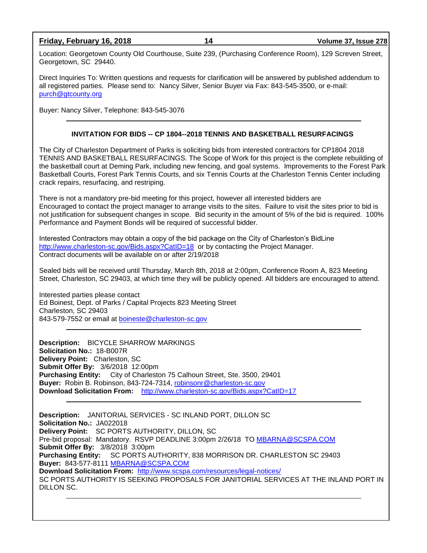#### **Friday, February 16, 2018 14 Volume 37, Issue 278**

Location: Georgetown County Old Courthouse, Suite 239, (Purchasing Conference Room), 129 Screven Street, Georgetown, SC 29440.

Direct Inquiries To: Written questions and requests for clarification will be answered by published addendum to all registered parties. Please send to: Nancy Silver, Senior Buyer via Fax: 843-545-3500, or e-mail: [purch@gtcounty.org](mailto:purch@gtcounty.org)

Buyer: Nancy Silver, Telephone: 843-545-3076

#### **INVITATION FOR BIDS -- CP 1804--2018 TENNIS AND BASKETBALL RESURFACINGS**

The City of Charleston Department of Parks is soliciting bids from interested contractors for CP1804 2018 TENNIS AND BASKETBALL RESURFACINGS. The Scope of Work for this project is the complete rebuilding of the basketball court at Deming Park, including new fencing, and goal systems. Improvements to the Forest Park Basketball Courts, Forest Park Tennis Courts, and six Tennis Courts at the Charleston Tennis Center including crack repairs, resurfacing, and restriping.

There is not a mandatory pre-bid meeting for this project, however all interested bidders are Encouraged to contact the project manager to arrange visits to the sites. Failure to visit the sites prior to bid is not justification for subsequent changes in scope. Bid security in the amount of 5% of the bid is required. 100% Performance and Payment Bonds will be required of successful bidder.

Interested Contractors may obtain a copy of the bid package on the City of Charleston's BidLine <http://www.charleston-sc.gov/Bids.aspx?CatID=18> or by contacting the Project Manager. Contract documents will be available on or after 2/19/2018

Sealed bids will be received until Thursday, March 8th, 2018 at 2:00pm, Conference Room A, 823 Meeting Street, Charleston, SC 29403, at which time they will be publicly opened. All bidders are encouraged to attend.

Interested parties please contact Ed Boinest, Dept. of Parks / Capital Projects 823 Meeting Street Charleston, SC 29403 843-579-7552 or email at [boineste@charleston-sc.gov](mailto:boineste@charleston-sc.gov)

**Description:** BICYCLE SHARROW MARKINGS **Solicitation No.:** 18-B007R **Delivery Point:** Charleston, SC **Submit Offer By:** 3/6/2018 12:00pm **Purchasing Entity:** City of Charleston 75 Calhoun Street, Ste. 3500, 29401 **Buyer:** Robin B. Robinson, 843-724-7314, [robinsonr@charleston-sc.gov](mailto:robinsonr@charleston-sc.gov) **Download Solicitation From:** <http://www.charleston-sc.gov/Bids.aspx?CatID=17>

**Description:** JANITORIAL SERVICES - SC INLAND PORT, DILLON SC **Solicitation No.:** JA022018 **Delivery Point:** SC PORTS AUTHORITY, DILLON, SC Pre-bid proposal: Mandatory. RSVP DEADLINE 3:00pm 2/26/18 TO [MBARNA@SCSPA.COM](mailto:MBARNA@SCSPA.COM) **Submit Offer By:** 3/8/2018 3:00pm **Purchasing Entity:** SC PORTS AUTHORITY, 838 MORRISON DR. CHARLESTON SC 29403 **Buyer:** 843-577-8111 [MBARNA@SCSPA.COM](mailto:MBARNA@SCSPA.COM) **Download Solicitation From:** <http://www.scspa.com/resources/legal-notices/> SC PORTS AUTHORITY IS SEEKING PROPOSALS FOR JANITORIAL SERVICES AT THE INLAND PORT IN DILLON SC.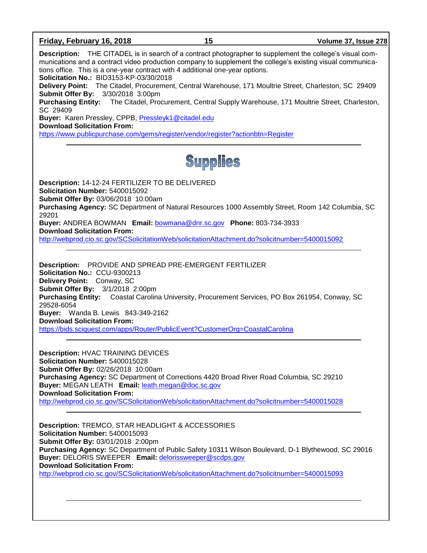#### **Friday, February 16, 2018 15 Volume 37, Issue 278**

**Description:** THE CITADEL is in search of a contract photographer to supplement the college's visual communications and a contract video production company to supplement the college's existing visual communications office. This is a one-year contract with 4 additional one-year options. **Solicitation No.:** BID3153-KP-03/30/2018 **Delivery Point:** The Citadel, Procurement, Central Warehouse, 171 Moultrie Street, Charleston, SC 29409 **Submit Offer By:** 3/30/2018 3:00pm **Purchasing Entity:** The Citadel, Procurement, Central Supply Warehouse, 171 Moultrie Street, Charleston, SC 29409 **Buyer:** Karen Pressley, CPPB, [Pressleyk1@citadel.edu](mailto:Pressleyk1@citadel.edu) **Download Solicitation From:** <https://www.publicpurchase.com/gems/register/vendor/register?actionbtn=Register> **Supplies Description:** 14-12-24 FERTILIZER TO BE DELIVERED **Solicitation Number:** 5400015092 **Submit Offer By:** 03/06/2018 10:00am **Purchasing Agency:** SC Department of Natural Resources 1000 Assembly Street, Room 142 Columbia, SC 29201 **Buyer:** ANDREA BOWMAN **Email:** [bowmana@dnr.sc.gov](mailto:bowmana@dnr.sc.gov) **Phone:** 803-734-3933 **Download Solicitation From:**  <http://webprod.cio.sc.gov/SCSolicitationWeb/solicitationAttachment.do?solicitnumber=5400015092> **Description:** PROVIDE AND SPREAD PRE-EMERGENT FERTILIZER **Solicitation No.:** CCU-9300213 **Delivery Point:** Conway, SC **Submit Offer By:** 3/1/2018 2:00pm **Purchasing Entity:** Coastal Carolina University, Procurement Services, PO Box 261954, Conway, SC 29528-6054 **Buyer:** Wanda B. Lewis 843-349-2162 **Download Solicitation From:** <https://bids.sciquest.com/apps/Router/PublicEvent?CustomerOrg=CoastalCarolina> **Description:** HVAC TRAINING DEVICES **Solicitation Number:** 5400015028 **Submit Offer By:** 02/26/2018 10:00am **Purchasing Agency:** SC Department of Corrections 4420 Broad River Road Columbia, SC 29210 **Buyer:** MEGAN LEATH **Email:** [leath.megan@doc.sc.gov](mailto:leath.megan@doc.sc.gov) **Download Solicitation From:**  <http://webprod.cio.sc.gov/SCSolicitationWeb/solicitationAttachment.do?solicitnumber=5400015028> **Description:** TREMCO, STAR HEADLIGHT & ACCESSORIES **Solicitation Number:** 5400015093 **Submit Offer By:** 03/01/2018 2:00pm **Purchasing Agency:** SC Department of Public Safety 10311 Wilson Boulevard, D-1 Blythewood, SC 29016 **Buyer:** DELORIS SWEEPER **Email:** [delorissweeper@scdps.gov](mailto:delorissweeper@scdps.gov) **Download Solicitation From:**  <http://webprod.cio.sc.gov/SCSolicitationWeb/solicitationAttachment.do?solicitnumber=5400015093>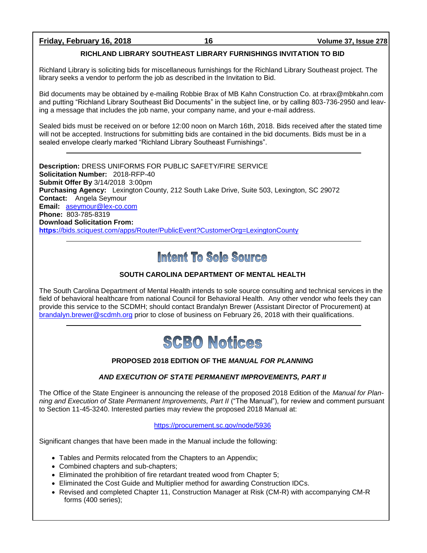**Friday, February 16, 2018 16 Volume 37, Issue 278**

### **RICHLAND LIBRARY SOUTHEAST LIBRARY FURNISHINGS INVITATION TO BID**

Richland Library is soliciting bids for miscellaneous furnishings for the Richland Library Southeast project. The library seeks a vendor to perform the job as described in the Invitation to Bid.

Bid documents may be obtained by e-mailing Robbie Brax of MB Kahn Construction Co. at rbrax@mbkahn.com and putting "Richland Library Southeast Bid Documents" in the subject line, or by calling 803-736-2950 and leaving a message that includes the job name, your company name, and your e-mail address.

Sealed bids must be received on or before 12:00 noon on March 16th, 2018. Bids received after the stated time will not be accepted. Instructions for submitting bids are contained in the bid documents. Bids must be in a sealed envelope clearly marked "Richland Library Southeast Furnishings".

**Description:** DRESS UNIFORMS FOR PUBLIC SAFETY/FIRE SERVICE **Solicitation Number:** 2018-RFP-40 **Submit Offer By** 3/14/2018 3:00pm **Purchasing Agency:** Lexington County, 212 South Lake Drive, Suite 503, Lexington, SC 29072 **Contact:** Angela Seymour **Email:** [aseymour@lex-co.com](mailto:aseymour@lex-co.com) **Phone:** 803-785-8319 **Download Solicitation From: https:**[//bids.sciquest.com/apps/Router/PublicEvent?CustomerOrg=LexingtonCounty](https://bids.sciquest.com/apps/Router/PublicEvent?CustomerOrg=LexingtonCounty)

# Intent To Sole Source

## **SOUTH CAROLINA DEPARTMENT OF MENTAL HEALTH**

The South Carolina Department of Mental Health intends to sole source consulting and technical services in the field of behavioral healthcare from national Council for Behavioral Health. Any other vendor who feels they can provide this service to the SCDMH; should contact Brandalyn Brewer (Assistant Director of Procurement) at [brandalyn.brewer@scdmh.org](mailto:brandalyn.brewer@scdmh.org) prior to close of business on February 26, 2018 with their qualifications.



## **PROPOSED 2018 EDITION OF THE** *MANUAL FOR PLANNING*

## *AND EXECUTION OF STATE PERMANENT IMPROVEMENTS, PART II*

The Office of the State Engineer is announcing the release of the proposed 2018 Edition of the *Manual for Planning and Execution of State Permanent Improvements, Part II* ("The Manual"), for review and comment pursuant to Section 11-45-3240. Interested parties may review the proposed 2018 Manual at:

#### <https://procurement.sc.gov/node/5936>

Significant changes that have been made in the Manual include the following:

- Tables and Permits relocated from the Chapters to an Appendix;
- Combined chapters and sub-chapters;
- Eliminated the prohibition of fire retardant treated wood from Chapter 5;
- Eliminated the Cost Guide and Multiplier method for awarding Construction IDCs.
- Revised and completed Chapter 11, Construction Manager at Risk (CM-R) with accompanying CM-R forms (400 series);